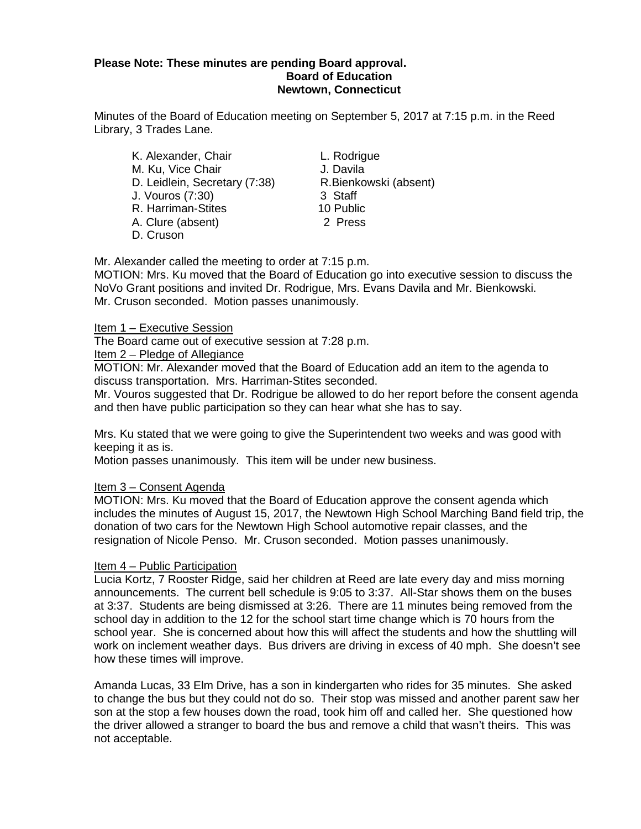# **Please Note: These minutes are pending Board approval. Board of Education Newtown, Connecticut**

Minutes of the Board of Education meeting on September 5, 2017 at 7:15 p.m. in the Reed Library, 3 Trades Lane.

- K. Alexander, Chair **L. Rodrigue** M. Ku, Vice Chair (7:38) J. Davila<br>D. Leidlein, Secretary (7:38) R. Bienkowski (absent) D. Leidlein, Secretary (7:38) R.Bienk<br>J. Vouros (7:30) 3 Staff J. Vouros (7:30) R. Harriman-Stites 10 Public A. Clure (absent) 2 Press D. Cruson
	-

Mr. Alexander called the meeting to order at 7:15 p.m.

MOTION: Mrs. Ku moved that the Board of Education go into executive session to discuss the NoVo Grant positions and invited Dr. Rodrigue, Mrs. Evans Davila and Mr. Bienkowski. Mr. Cruson seconded. Motion passes unanimously.

# Item 1 – Executive Session

The Board came out of executive session at 7:28 p.m.

Item 2 – Pledge of Allegiance

MOTION: Mr. Alexander moved that the Board of Education add an item to the agenda to discuss transportation. Mrs. Harriman-Stites seconded.

Mr. Vouros suggested that Dr. Rodrigue be allowed to do her report before the consent agenda and then have public participation so they can hear what she has to say.

Mrs. Ku stated that we were going to give the Superintendent two weeks and was good with keeping it as is.

Motion passes unanimously. This item will be under new business.

# Item 3 – Consent Agenda

MOTION: Mrs. Ku moved that the Board of Education approve the consent agenda which includes the minutes of August 15, 2017, the Newtown High School Marching Band field trip, the donation of two cars for the Newtown High School automotive repair classes, and the resignation of Nicole Penso. Mr. Cruson seconded. Motion passes unanimously.

# Item 4 – Public Participation

Lucia Kortz, 7 Rooster Ridge, said her children at Reed are late every day and miss morning announcements. The current bell schedule is 9:05 to 3:37. All-Star shows them on the buses at 3:37. Students are being dismissed at 3:26. There are 11 minutes being removed from the school day in addition to the 12 for the school start time change which is 70 hours from the school year. She is concerned about how this will affect the students and how the shuttling will work on inclement weather days. Bus drivers are driving in excess of 40 mph. She doesn't see how these times will improve.

Amanda Lucas, 33 Elm Drive, has a son in kindergarten who rides for 35 minutes. She asked to change the bus but they could not do so. Their stop was missed and another parent saw her son at the stop a few houses down the road, took him off and called her. She questioned how the driver allowed a stranger to board the bus and remove a child that wasn't theirs. This was not acceptable.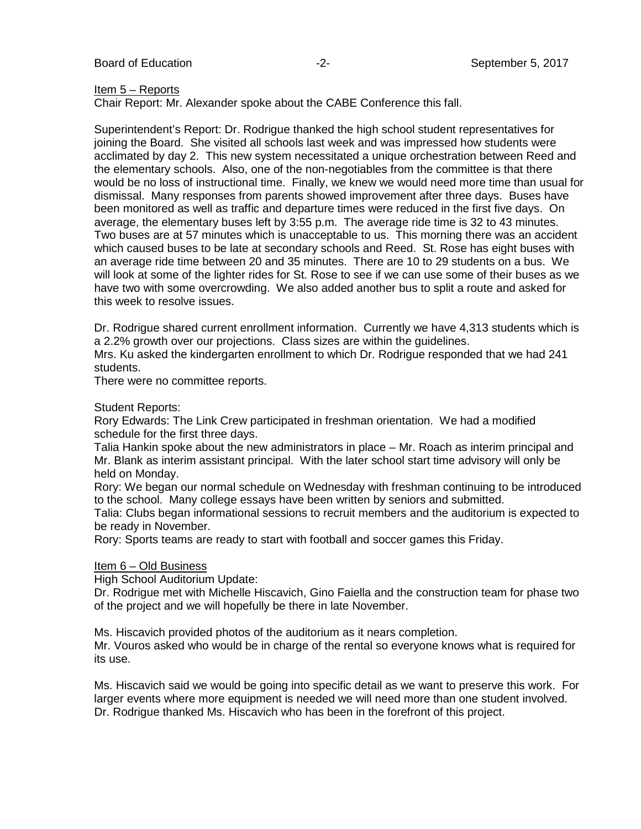Board of Education **-2-** Figure 2- September 5, 2017

#### Item 5 – Reports

Chair Report: Mr. Alexander spoke about the CABE Conference this fall.

Superintendent's Report: Dr. Rodrigue thanked the high school student representatives for joining the Board. She visited all schools last week and was impressed how students were acclimated by day 2. This new system necessitated a unique orchestration between Reed and the elementary schools. Also, one of the non-negotiables from the committee is that there would be no loss of instructional time. Finally, we knew we would need more time than usual for dismissal. Many responses from parents showed improvement after three days. Buses have been monitored as well as traffic and departure times were reduced in the first five days. On average, the elementary buses left by 3:55 p.m. The average ride time is 32 to 43 minutes. Two buses are at 57 minutes which is unacceptable to us. This morning there was an accident which caused buses to be late at secondary schools and Reed. St. Rose has eight buses with an average ride time between 20 and 35 minutes. There are 10 to 29 students on a bus. We will look at some of the lighter rides for St. Rose to see if we can use some of their buses as we have two with some overcrowding. We also added another bus to split a route and asked for this week to resolve issues.

Dr. Rodrigue shared current enrollment information. Currently we have 4,313 students which is a 2.2% growth over our projections. Class sizes are within the guidelines.

Mrs. Ku asked the kindergarten enrollment to which Dr. Rodrigue responded that we had 241 students.

There were no committee reports.

# Student Reports:

Rory Edwards: The Link Crew participated in freshman orientation. We had a modified schedule for the first three days.

Talia Hankin spoke about the new administrators in place – Mr. Roach as interim principal and Mr. Blank as interim assistant principal. With the later school start time advisory will only be held on Monday.

Rory: We began our normal schedule on Wednesday with freshman continuing to be introduced to the school. Many college essays have been written by seniors and submitted.

Talia: Clubs began informational sessions to recruit members and the auditorium is expected to be ready in November.

Rory: Sports teams are ready to start with football and soccer games this Friday.

#### Item 6 – Old Business

High School Auditorium Update:

Dr. Rodrigue met with Michelle Hiscavich, Gino Faiella and the construction team for phase two of the project and we will hopefully be there in late November.

Ms. Hiscavich provided photos of the auditorium as it nears completion.

Mr. Vouros asked who would be in charge of the rental so everyone knows what is required for its use.

Ms. Hiscavich said we would be going into specific detail as we want to preserve this work. For larger events where more equipment is needed we will need more than one student involved. Dr. Rodrigue thanked Ms. Hiscavich who has been in the forefront of this project.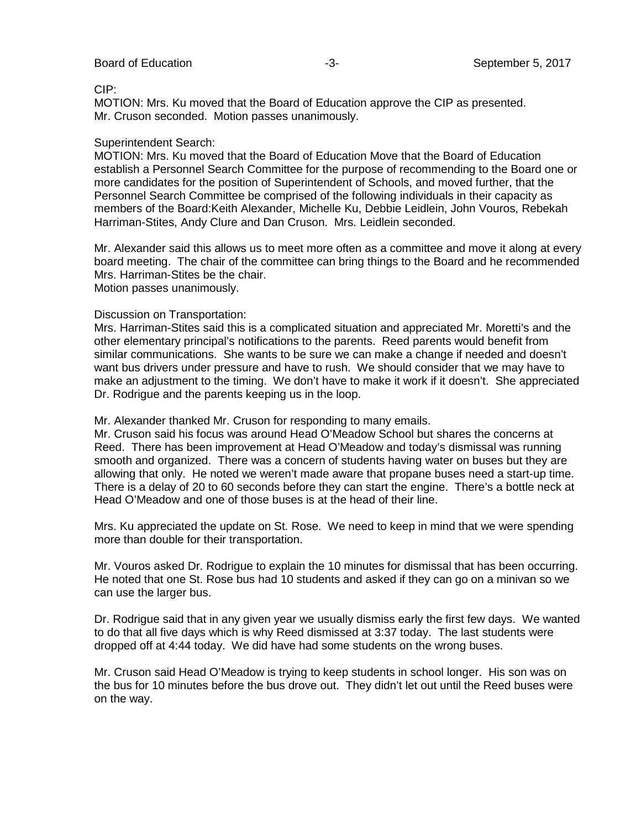CIP:

MOTION: Mrs. Ku moved that the Board of Education approve the CIP as presented. Mr. Cruson seconded. Motion passes unanimously.

### Superintendent Search:

MOTION: Mrs. Ku moved that the Board of Education Move that the Board of Education establish a Personnel Search Committee for the purpose of recommending to the Board one or more candidates for the position of Superintendent of Schools, and moved further, that the Personnel Search Committee be comprised of the following individuals in their capacity as members of the Board:Keith Alexander, Michelle Ku, Debbie Leidlein, John Vouros, Rebekah Harriman-Stites, Andy Clure and Dan Cruson. Mrs. Leidlein seconded.

Mr. Alexander said this allows us to meet more often as a committee and move it along at every board meeting. The chair of the committee can bring things to the Board and he recommended Mrs. Harriman-Stites be the chair. Motion passes unanimously.

Discussion on Transportation:

Mrs. Harriman-Stites said this is a complicated situation and appreciated Mr. Moretti's and the other elementary principal's notifications to the parents. Reed parents would benefit from similar communications. She wants to be sure we can make a change if needed and doesn't want bus drivers under pressure and have to rush. We should consider that we may have to make an adjustment to the timing. We don't have to make it work if it doesn't. She appreciated Dr. Rodrigue and the parents keeping us in the loop.

Mr. Alexander thanked Mr. Cruson for responding to many emails.

Mr. Cruson said his focus was around Head O'Meadow School but shares the concerns at Reed. There has been improvement at Head O'Meadow and today's dismissal was running smooth and organized. There was a concern of students having water on buses but they are allowing that only. He noted we weren't made aware that propane buses need a start-up time. There is a delay of 20 to 60 seconds before they can start the engine. There's a bottle neck at Head O'Meadow and one of those buses is at the head of their line.

Mrs. Ku appreciated the update on St. Rose. We need to keep in mind that we were spending more than double for their transportation.

Mr. Vouros asked Dr. Rodrigue to explain the 10 minutes for dismissal that has been occurring. He noted that one St. Rose bus had 10 students and asked if they can go on a minivan so we can use the larger bus.

Dr. Rodrigue said that in any given year we usually dismiss early the first few days. We wanted to do that all five days which is why Reed dismissed at 3:37 today. The last students were dropped off at 4:44 today. We did have had some students on the wrong buses.

Mr. Cruson said Head O'Meadow is trying to keep students in school longer. His son was on the bus for 10 minutes before the bus drove out. They didn't let out until the Reed buses were on the way.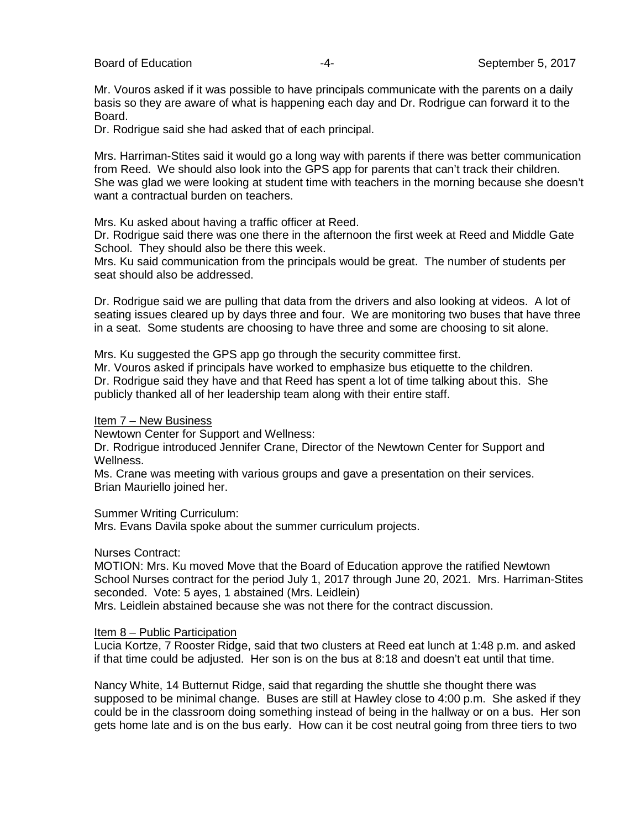Board of Education **Contract Contract Contract Contract Contract Contract Contract Contract Contract Contract Contract Contract Contract Contract Contract Contract Contract Contract Contract Contract Contract Contract Cont** 

Mr. Vouros asked if it was possible to have principals communicate with the parents on a daily basis so they are aware of what is happening each day and Dr. Rodrigue can forward it to the Board.

Dr. Rodrigue said she had asked that of each principal.

Mrs. Harriman-Stites said it would go a long way with parents if there was better communication from Reed. We should also look into the GPS app for parents that can't track their children. She was glad we were looking at student time with teachers in the morning because she doesn't want a contractual burden on teachers.

Mrs. Ku asked about having a traffic officer at Reed.

Dr. Rodrigue said there was one there in the afternoon the first week at Reed and Middle Gate School. They should also be there this week.

Mrs. Ku said communication from the principals would be great. The number of students per seat should also be addressed.

Dr. Rodrigue said we are pulling that data from the drivers and also looking at videos. A lot of seating issues cleared up by days three and four. We are monitoring two buses that have three in a seat. Some students are choosing to have three and some are choosing to sit alone.

Mrs. Ku suggested the GPS app go through the security committee first.

Mr. Vouros asked if principals have worked to emphasize bus etiquette to the children. Dr. Rodrigue said they have and that Reed has spent a lot of time talking about this. She publicly thanked all of her leadership team along with their entire staff.

#### Item 7 – New Business

Newtown Center for Support and Wellness:

Dr. Rodrigue introduced Jennifer Crane, Director of the Newtown Center for Support and Wellness.

Ms. Crane was meeting with various groups and gave a presentation on their services. Brian Mauriello joined her.

Summer Writing Curriculum:

Mrs. Evans Davila spoke about the summer curriculum projects.

# Nurses Contract:

MOTION: Mrs. Ku moved Move that the Board of Education approve the ratified Newtown School Nurses contract for the period July 1, 2017 through June 20, 2021. Mrs. Harriman-Stites seconded. Vote: 5 ayes, 1 abstained (Mrs. Leidlein)

Mrs. Leidlein abstained because she was not there for the contract discussion.

# Item 8 – Public Participation

Lucia Kortze, 7 Rooster Ridge, said that two clusters at Reed eat lunch at 1:48 p.m. and asked if that time could be adjusted. Her son is on the bus at 8:18 and doesn't eat until that time.

Nancy White, 14 Butternut Ridge, said that regarding the shuttle she thought there was supposed to be minimal change. Buses are still at Hawley close to 4:00 p.m. She asked if they could be in the classroom doing something instead of being in the hallway or on a bus. Her son gets home late and is on the bus early. How can it be cost neutral going from three tiers to two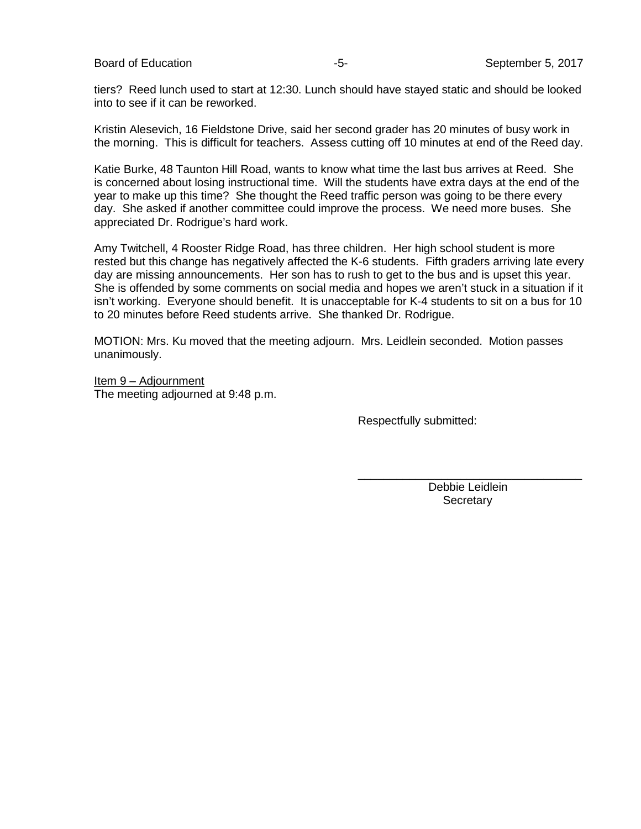Board of Education **-5-** September 5, 2017

tiers? Reed lunch used to start at 12:30. Lunch should have stayed static and should be looked into to see if it can be reworked.

Kristin Alesevich, 16 Fieldstone Drive, said her second grader has 20 minutes of busy work in the morning. This is difficult for teachers. Assess cutting off 10 minutes at end of the Reed day.

Katie Burke, 48 Taunton Hill Road, wants to know what time the last bus arrives at Reed. She is concerned about losing instructional time. Will the students have extra days at the end of the year to make up this time? She thought the Reed traffic person was going to be there every day. She asked if another committee could improve the process. We need more buses. She appreciated Dr. Rodrigue's hard work.

Amy Twitchell, 4 Rooster Ridge Road, has three children. Her high school student is more rested but this change has negatively affected the K-6 students. Fifth graders arriving late every day are missing announcements. Her son has to rush to get to the bus and is upset this year. She is offended by some comments on social media and hopes we aren't stuck in a situation if it isn't working. Everyone should benefit. It is unacceptable for K-4 students to sit on a bus for 10 to 20 minutes before Reed students arrive. She thanked Dr. Rodrigue.

MOTION: Mrs. Ku moved that the meeting adjourn. Mrs. Leidlein seconded. Motion passes unanimously.

Item 9 – Adjournment The meeting adjourned at 9:48 p.m.

Respectfully submitted:

\_\_\_\_\_\_\_\_\_\_\_\_\_\_\_\_\_\_\_\_\_\_\_\_\_\_\_\_\_\_\_\_\_\_\_ Debbie Leidlein **Secretary**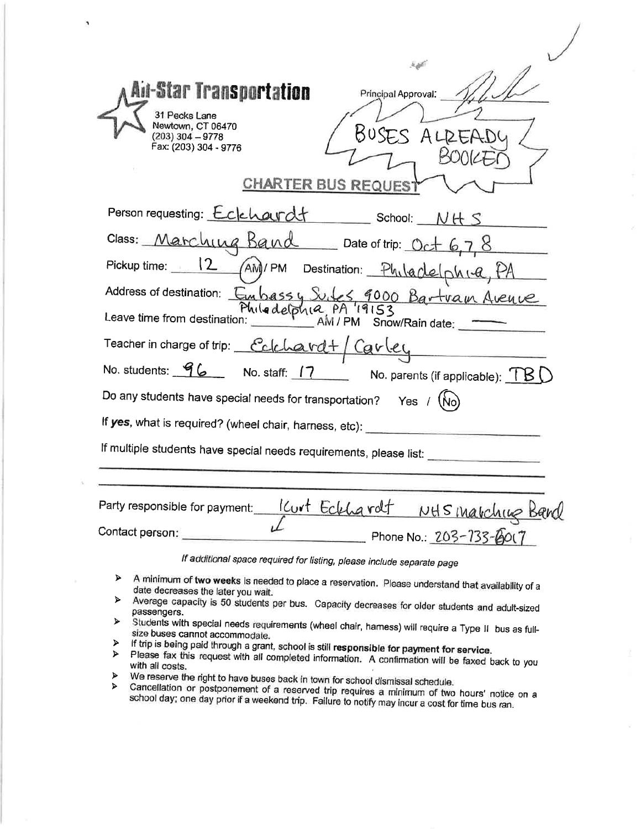| Ail-Star Transportation<br>Principal Approval:<br>31 Pecks Lane<br>Newtown, CT 06470<br>BUSES<br>$(203)$ 304 - 9778<br>Fax: (203) 304 - 9776<br><b>CHARTER BUS REQUEST</b> |
|----------------------------------------------------------------------------------------------------------------------------------------------------------------------------|
| Person requesting: Eclehardt School: NHS                                                                                                                                   |
| Class: Marching Band Date of trip: Oct 6,7,8                                                                                                                               |
| Pickup time: 12 AM)/PM Destination: Philadelphia                                                                                                                           |
| Address of destination: Embassy Subes, 9000 Bartvan Avenue<br>Philodelphia,<br>Leave time from destination:<br>Snow/Rain date:                                             |
| Teacher in charge of trip: Colchard+ Garley                                                                                                                                |
| No. students: 96 No. staff: 17 No. parents (if applicable): TBU                                                                                                            |
| Do any students have special needs for transportation? Yes /                                                                                                               |
| If yes, what is required? (wheel chair, harness, etc):                                                                                                                     |
| If multiple students have special needs requirements, please list:                                                                                                         |
| $\mathbf{r}$                                                                                                                                                               |

Kurt Eckhardt NHS marching Band Party responsible for payment: Contact person: Phone No.: 203-733-8017

If additional space required for listing, please include separate page

- A minimum of two weeks is needed to place a reservation. Please understand that availability of a  $\blacktriangleright$ date decreases the later you wait.
- Average capacity is 50 students per bus. Capacity decreases for older students and adult-sized  $\blacktriangleright$ passengers.
- Students with special needs requirements (wheel chair, hamess) will require a Type II bus as full- $\blacktriangleright$ size buses cannot accommodate.  $\blacktriangleright$
- If trip is being paid through a grant, school is still responsible for payment for service.
- > Please fax this request with all completed information. A confirmation will be faxed back to you with all costs.  $\blacktriangleright$
- We reserve the right to have buses back in town for school dismissal schedule.  $\blacktriangle$

Cancellation or postponement of a reserved trip requires a minimum of two hours' notice on a school day; one day prior if a weekend trip. Failure to notify may incur a cost for time bus ran.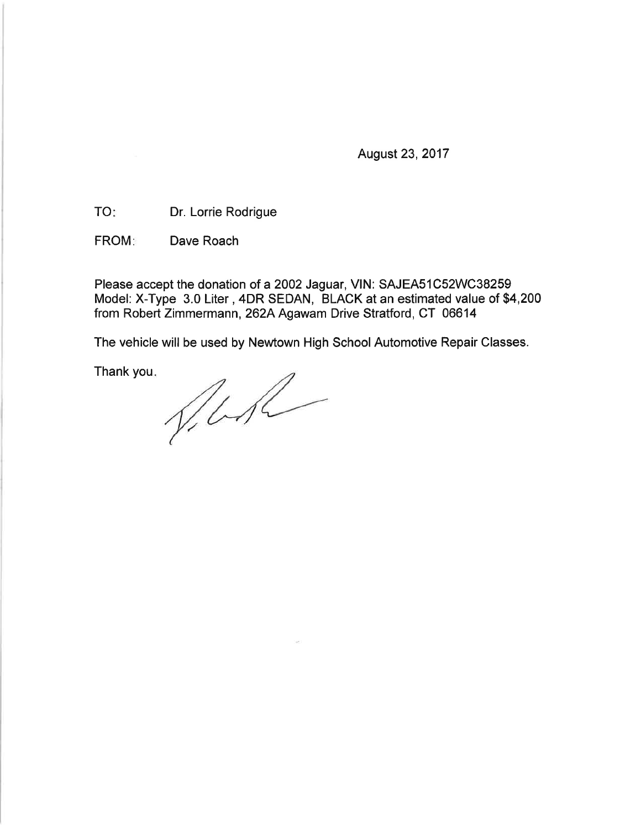August 23, 2017

Dr. Lorrie Rodrigue **TO:** 

**FROM:** Dave Roach

Please accept the donation of a 2002 Jaguar, VIN: SAJEA51C52WC38259 Model: X-Type 3.0 Liter, 4DR SEDAN, BLACK at an estimated value of \$4,200 from Robert Zimmermann, 262A Agawam Drive Stratford, CT 06614

The vehicle will be used by Newtown High School Automotive Repair Classes.

Thank you.

VILA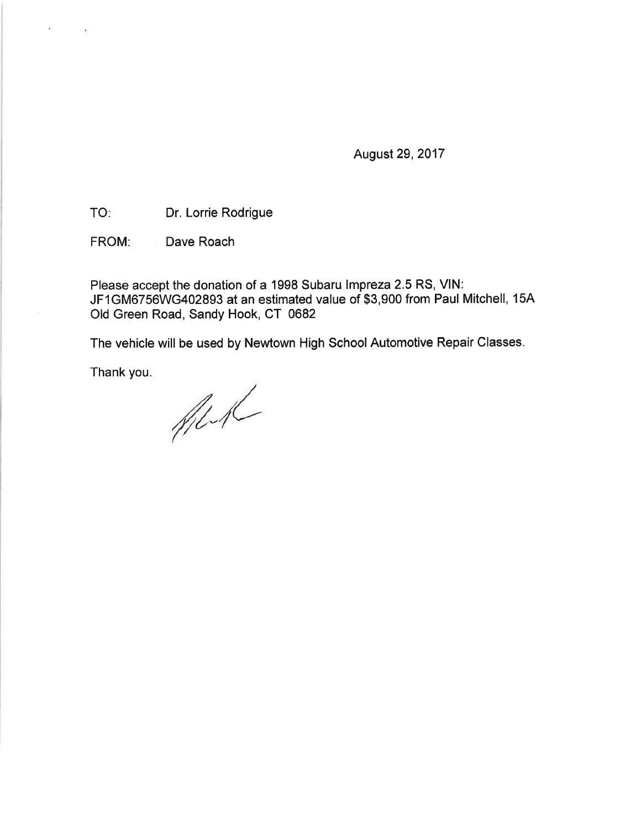August 29, 2017

Dr. Lorrie Rodrigue **TO:** 

FROM: Dave Roach

Please accept the donation of a 1998 Subaru Impreza 2.5 RS, VIN: JF1GM6756WG402893 at an estimated value of \$3,900 from Paul Mitchell, 15A Old Green Road, Sandy Hook, CT 0682

The vehicle will be used by Newtown High School Automotive Repair Classes.

Thank you.

All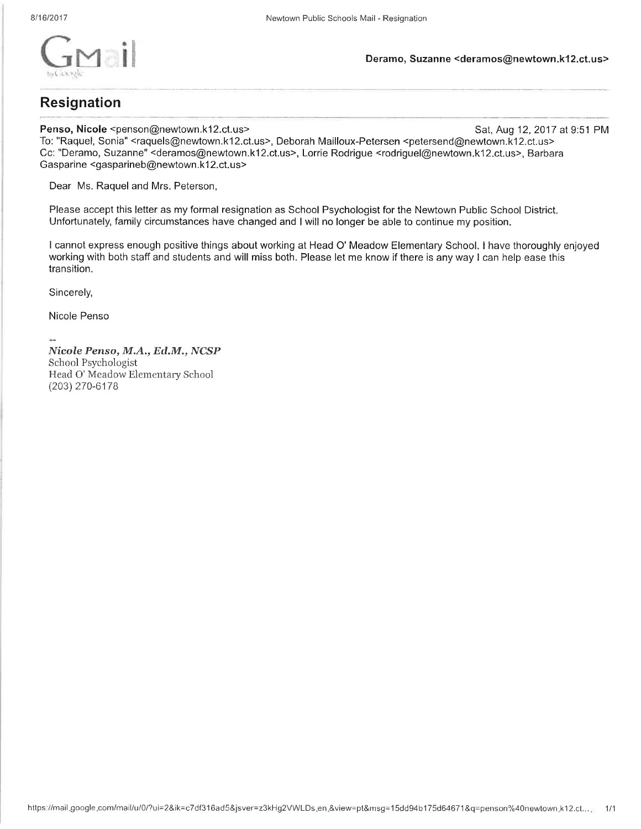

# **Resignation**

Penso, Nicole <penson@newtown.k12.ct.us>

Sat, Aug 12, 2017 at 9:51 PM To: "Raquel, Sonia" <raquels@newtown.k12.ct.us>, Deborah Mailloux-Petersen <petersend@newtown.k12.ct.us> Cc: "Deramo, Suzanne" <deramos@newtown.k12.ct.us>, Lorrie Rodrigue <rodriguel@newtown.k12.ct.us>, Barbara Gasparine <gasparineb@newtown.k12.ct.us>

Dear Ms. Raquel and Mrs. Peterson,

Please accept this letter as my formal resignation as School Psychologist for the Newtown Public School District. Unfortunately, family circumstances have changed and I will no longer be able to continue my position.

I cannot express enough positive things about working at Head O' Meadow Elementary School. I have thoroughly enjoyed working with both staff and students and will miss both. Please let me know if there is any way I can help ease this transition.

Sincerely,

Nicole Penso

Nicole Penso, M.A., Ed.M., NCSP School Psychologist Head O' Meadow Elementary School (203) 270-6178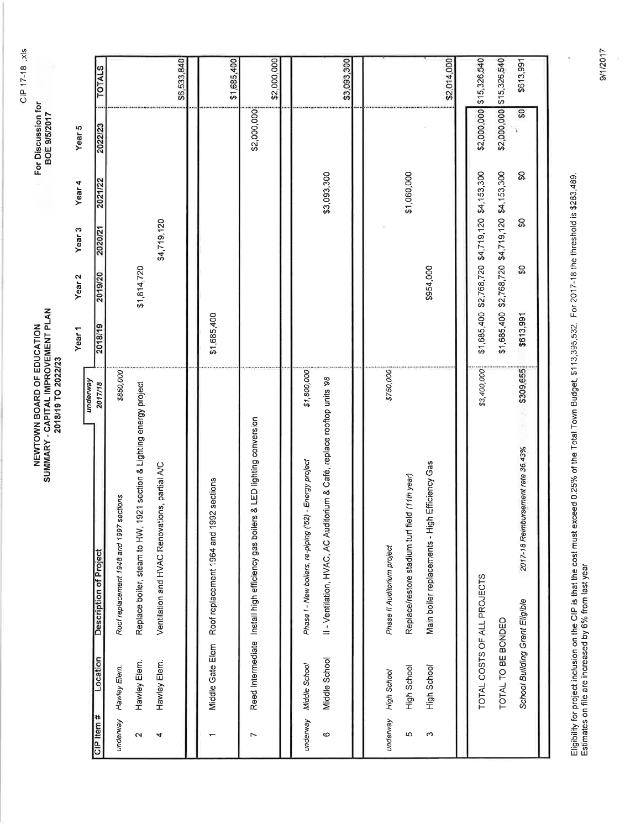CIP 17-18 .xls

For Discussion for<br>BOE 9/5/2017

NEWTOWN BOARD OF EDUCATION<br>SUMMARY - CAPITAL IMPROVEMENT PLAN<br>2018/19 TO 2022/23

Vear 4 Year<sub>3</sub> Year<sub>2</sub> Year<sub>1</sub>

|                    |                                                   |                                                                                                                                    | underway    | Year <sub>1</sub>                                                                                  | Year <sub>2</sub> | Year <sub>3</sub> | Year 4      | Year <sub>5</sub> |               |
|--------------------|---------------------------------------------------|------------------------------------------------------------------------------------------------------------------------------------|-------------|----------------------------------------------------------------------------------------------------|-------------------|-------------------|-------------|-------------------|---------------|
| CIP Item #         | Location                                          | <b>Description of Project</b>                                                                                                      | 2017/18     | 2018/19                                                                                            | 2019/20           | 2020/21           | 2021/22     | 2022/23           | <b>TOTALS</b> |
| underway           | Hawley Elem.                                      | sections<br>Roof replacement 1948 and 1997                                                                                         | \$850,000   |                                                                                                    |                   |                   |             |                   |               |
| $\mathbf{\Omega}$  | Hawley Elem.                                      | 1921 section & Lighting energy project<br>Replace boiler, steam to HW,                                                             |             |                                                                                                    | \$1,814,720       |                   |             |                   |               |
| 4                  | Hawley Elem.                                      | Ventilation and HVAC Renovations, partial A/C                                                                                      |             |                                                                                                    |                   | \$4,719,120       |             |                   |               |
|                    |                                                   |                                                                                                                                    |             |                                                                                                    |                   |                   |             |                   | \$6,533,840   |
|                    |                                                   | 992 sections<br>Middle Gate Elem Roof replacement 1964 and                                                                         |             | \$1,685,400                                                                                        |                   |                   |             |                   |               |
|                    |                                                   |                                                                                                                                    |             |                                                                                                    |                   |                   |             |                   | \$1,685,400   |
| r                  |                                                   | Reed Intermediate Install high efficiency gas boilers & LED lighting conversion                                                    |             |                                                                                                    |                   |                   |             | \$2,000,000       |               |
|                    |                                                   |                                                                                                                                    |             |                                                                                                    |                   |                   |             |                   | \$2,000,000   |
| underway<br>O      | Middle School<br>Middle School                    | II - Ventilation, HVAC, AC Auditorium & Café, replace rooftop units '98<br>Phase I - New boilers, re-piping ('52) - Energy project | \$1,800,000 |                                                                                                    |                   |                   | \$3,093,300 |                   | \$3,093,300   |
|                    |                                                   |                                                                                                                                    |             |                                                                                                    |                   |                   |             |                   |               |
| underway<br>ю<br>S | High School<br>High School<br>High School         | Main boiler replacements - High Efficiency Gas<br>Replace/restore stadium turf field (11th year)<br>Phase II Auditorium project    | \$750,000   |                                                                                                    | \$954,000         |                   | \$1,060,000 |                   |               |
|                    |                                                   |                                                                                                                                    |             |                                                                                                    |                   |                   |             |                   | \$2,014,000   |
|                    |                                                   |                                                                                                                                    |             |                                                                                                    |                   |                   |             | \$2,000,000       | \$15,326,540  |
|                    | TOTAL COSTS OF ALL PROJECTS<br>TOTAL TO BE BONDED |                                                                                                                                    | \$3,400,000 | \$1,685,400 \$2,768,720 \$4,719,120 \$4,153,300<br>\$1,685,400 \$2,768,720 \$4,719,120 \$4,153,300 |                   |                   |             | \$2,000,000       | \$15,326,540  |
|                    | School Building Grant Eligible                    | 2017-18 Reimbursement rate 36.43%                                                                                                  | \$309,655   | \$613,991                                                                                          | င္တ               | င္တ               | င္တ         | S                 | \$613,991     |
|                    |                                                   |                                                                                                                                    |             |                                                                                                    |                   |                   |             |                   |               |

Eligibility for project inclusion on the CIP is that the cost must exceed 0.25% of the Total Town Budget, \$113,395,532. For 2017-18 the threshold is \$283,489.<br>Estimates on file are increased by 6% from last year

9/1/2017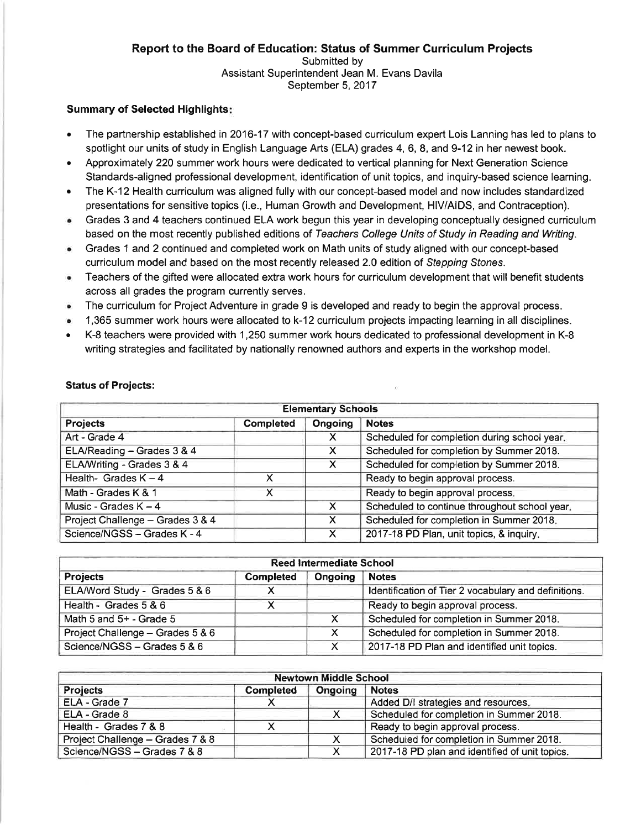#### Report to the Board of Education: Status of Summer Curriculum Projects Submitted by Assistant Superintendent Jean M. Evans Davila September 5, 2017

# **Summary of Selected Highlights:**

- The partnership established in 2016-17 with concept-based curriculum expert Lois Lanning has led to plans to  $\bullet$ spotlight our units of study in English Language Arts (ELA) grades 4, 6, 8, and 9-12 in her newest book.
- Approximately 220 summer work hours were dedicated to vertical planning for Next Generation Science Standards-aligned professional development, identification of unit topics, and inquiry-based science learning.
- The K-12 Health curriculum was aligned fully with our concept-based model and now includes standardized presentations for sensitive topics (i.e., Human Growth and Development, HIV/AIDS, and Contraception).
- Grades 3 and 4 teachers continued ELA work begun this year in developing conceptually designed curriculum  $\bullet$ based on the most recently published editions of Teachers College Units of Study in Reading and Writing.
- Grades 1 and 2 continued and completed work on Math units of study aligned with our concept-based  $\bullet$ curriculum model and based on the most recently released 2.0 edition of Stepping Stones.
- Teachers of the gifted were allocated extra work hours for curriculum development that will benefit students  $\bullet$ across all grades the program currently serves.
- The curriculum for Project Adventure in grade 9 is developed and ready to begin the approval process.  $\bullet$
- 1,365 summer work hours were allocated to k-12 curriculum projects impacting learning in all disciplines.
- K-8 teachers were provided with 1,250 summer work hours dedicated to professional development in K-8 writing strategies and facilitated by nationally renowned authors and experts in the workshop model.

|                                                                                   |                                               | <b>Elementary Schools</b> |                                              |  |  |  |  |
|-----------------------------------------------------------------------------------|-----------------------------------------------|---------------------------|----------------------------------------------|--|--|--|--|
| <b>Projects</b>                                                                   | <b>Completed</b>                              | Ongoing                   | <b>Notes</b>                                 |  |  |  |  |
| Art - Grade 4                                                                     |                                               |                           | Scheduled for completion during school year. |  |  |  |  |
| ELA/Reading - Grades 3 & 4                                                        |                                               | X                         | Scheduled for completion by Summer 2018.     |  |  |  |  |
| ELA/Writing - Grades 3 & 4                                                        | Scheduled for completion by Summer 2018.<br>x |                           |                                              |  |  |  |  |
| Ready to begin approval process.<br>Health- Grades $K - 4$<br>x                   |                                               |                           |                                              |  |  |  |  |
| Ready to begin approval process.<br>Math - Grades K & 1                           |                                               |                           |                                              |  |  |  |  |
| Scheduled to continue throughout school year.<br>Music - Grades $K - 4$<br>X      |                                               |                           |                                              |  |  |  |  |
| Scheduled for completion in Summer 2018.<br>Project Challenge - Grades 3 & 4<br>X |                                               |                           |                                              |  |  |  |  |
| Science/NGSS - Grades K - 4                                                       |                                               | X                         | 2017-18 PD Plan, unit topics, & inquiry.     |  |  |  |  |

# **Status of Projects:**

|                                                                                   |                  | <b>Reed Intermediate School</b> |                                                      |  |  |  |
|-----------------------------------------------------------------------------------|------------------|---------------------------------|------------------------------------------------------|--|--|--|
| <b>Projects</b>                                                                   | <b>Completed</b> | Ongoing                         | <b>Notes</b>                                         |  |  |  |
| ELA/Word Study - Grades 5 & 6                                                     |                  |                                 | Identification of Tier 2 vocabulary and definitions. |  |  |  |
| Health - Grades $5 & 6$<br>Ready to begin approval process.                       |                  |                                 |                                                      |  |  |  |
| Scheduled for completion in Summer 2018.<br>Math 5 and $5+$ - Grade 5<br>X.       |                  |                                 |                                                      |  |  |  |
| Scheduled for completion in Summer 2018.<br>Project Challenge - Grades 5 & 6<br>X |                  |                                 |                                                      |  |  |  |
| Science/NGSS - Grades 5 & 6                                                       |                  | X.                              | 2017-18 PD Plan and identified unit topics.          |  |  |  |

|                                                                              |                  | <b>Newtown Middle School</b> |                                                |  |  |  |
|------------------------------------------------------------------------------|------------------|------------------------------|------------------------------------------------|--|--|--|
| <b>Projects</b>                                                              | <b>Completed</b> | Ongoing                      | <b>Notes</b>                                   |  |  |  |
| ELA - Grade 7                                                                |                  |                              | Added D/I strategies and resources.            |  |  |  |
| Scheduled for completion in Summer 2018.<br>ELA - Grade 8<br>x               |                  |                              |                                                |  |  |  |
| Health - Grades 7 & 8<br>Ready to begin approval process.                    |                  |                              |                                                |  |  |  |
| Scheduled for completion in Summer 2018.<br>Project Challenge - Grades 7 & 8 |                  |                              |                                                |  |  |  |
| Science/NGSS - Grades 7 & 8                                                  |                  |                              | 2017-18 PD plan and identified of unit topics. |  |  |  |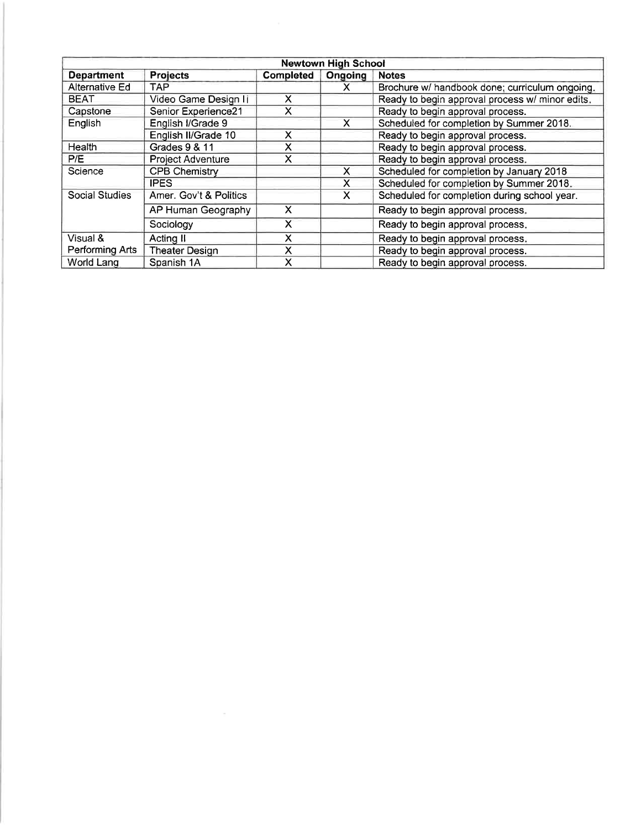|                       |                          |                  | <b>Newtown High School</b> |                                                 |
|-----------------------|--------------------------|------------------|----------------------------|-------------------------------------------------|
| <b>Department</b>     | <b>Projects</b>          | <b>Completed</b> | Ongoing                    | <b>Notes</b>                                    |
| Alternative Ed        | TAP.                     |                  | X                          | Brochure w/ handbook done; curriculum ongoing.  |
| <b>BEAT</b>           | Video Game Design Ii     | $\mathsf{X}$     |                            | Ready to begin approval process w/ minor edits. |
| Capstone              | Senior Experience21      | X                |                            | Ready to begin approval process.                |
| English               | English I/Grade 9        |                  | X                          | Scheduled for completion by Summer 2018.        |
|                       | English II/Grade 10      | X                |                            | Ready to begin approval process.                |
| Health                | Grades 9 & 11            | X                |                            | Ready to begin approval process.                |
| P/E                   | <b>Project Adventure</b> | X                |                            | Ready to begin approval process.                |
| Science               | CPB Chemistry            |                  | X                          | Scheduled for completion by January 2018        |
|                       | <b>IPES</b>              |                  | X                          | Scheduled for completion by Summer 2018.        |
| <b>Social Studies</b> | Amer. Gov't & Politics   |                  | X                          | Scheduled for completion during school year.    |
|                       | AP Human Geography       | X                |                            | Ready to begin approval process.                |
|                       | Sociology                | х                |                            | Ready to begin approval process.                |
| Visual &              | Acting II                | x                |                            | Ready to begin approval process.                |
| Performing Arts       | <b>Theater Design</b>    | X                |                            | Ready to begin approval process.                |
| World Lang            | Spanish 1A               | x                |                            | Ready to begin approval process.                |